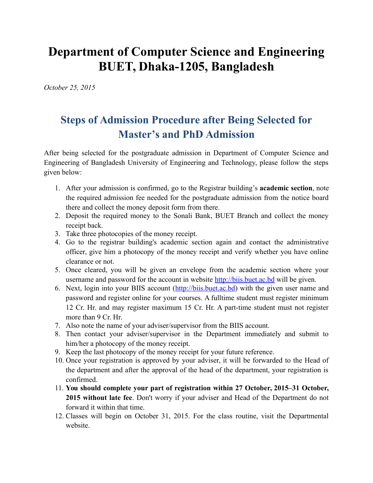## **Department of Computer Science and Engineering BUET, Dhaka-1205, Bangladesh**

*October 25, 2015*

## **Steps of Admission Procedure after Being Selected for Master's and PhD Admission**

After being selected for the postgraduate admission in Department of Computer Science and Engineering of Bangladesh University of Engineering and Technology, please follow the steps given below:

- 1. After your admission is confirmed, go to the Registrar building's **academic section**, note the required admission fee needed for the postgraduate admission from the notice board there and collect the money deposit form from there.
- 2. Deposit the required money to the Sonali Bank, BUET Branch and collect the money receipt back.
- 3. Take three photocopies of the money receipt.
- 4. Go to the registrar building's academic section again and contact the administrative officer, give him a photocopy of the money receipt and verify whether you have online clearance or not.
- 5. Once cleared, you will be given an envelope from the academic section where your username and password for the account in website [http://biis.buet.ac.bd](http://biis.buet.ac.bd/) will be given.
- 6. Next, login into your BIIS account [\(http://biis.buet.ac.bd\)](http://biis.buet.ac.bd/) with the given user name and password and register online for your courses. A fulltime student must register minimum 12 Cr. Hr. and may register maximum 15 Cr. Hr. A part-time student must not register more than 9 Cr. Hr.
- 7. Also note the name of your adviser/supervisor from the BIIS account.
- 8. Then contact your adviser/supervisor in the Department immediately and submit to him/her a photocopy of the money receipt.
- 9. Keep the last photocopy of the money receipt for your future reference.
- 10. Once your registration is approved by your adviser, it will be forwarded to the Head of the department and after the approval of the head of the department, your registration is confirmed.
- 11. **You should complete your part of registration within 27 October, 2015–31 October, 2015 without late fee**. Don't worry if your adviser and Head of the Department do not forward it within that time.
- 12. Classes will begin on October 31, 2015. For the class routine, visit the Departmental website.